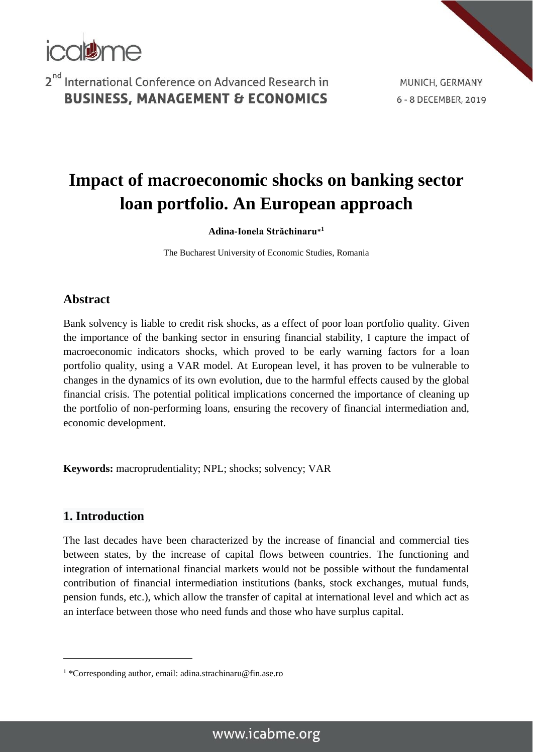

MUNICH, GERMANY 6 - 8 DECEMBER, 2019

# **Impact of macroeconomic shocks on banking sector loan portfolio. An European approach**

**Adina-Ionela Străchinaru**\* **1**

The Bucharest University of Economic Studies, Romania

#### **Abstract**

Bank solvency is liable to credit risk shocks, as a effect of poor loan portfolio quality. Given the importance of the banking sector in ensuring financial stability, I capture the impact of macroeconomic indicators shocks, which proved to be early warning factors for a loan portfolio quality, using a VAR model. At European level, it has proven to be vulnerable to changes in the dynamics of its own evolution, due to the harmful effects caused by the global financial crisis. The potential political implications concerned the importance of cleaning up the portfolio of non-performing loans, ensuring the recovery of financial intermediation and, economic development.

**Keywords:** macroprudentiality; NPL; shocks; solvency; VAR

#### **1. Introduction**

1

The last decades have been characterized by the increase of financial and commercial ties between states, by the increase of capital flows between countries. The functioning and integration of international financial markets would not be possible without the fundamental contribution of financial intermediation institutions (banks, stock exchanges, mutual funds, pension funds, etc.), which allow the transfer of capital at international level and which act as an interface between those who need funds and those who have surplus capital.

<sup>1</sup> \*Corresponding author, email: adina.strachinaru@fin.ase.ro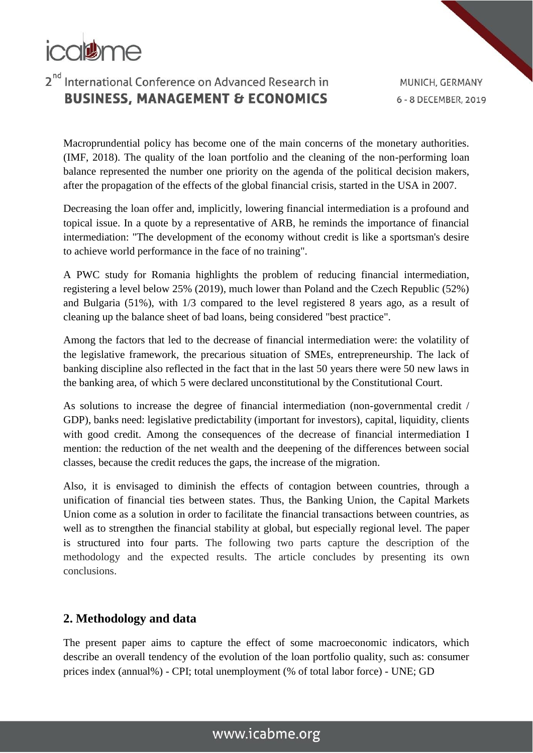

MUNICH, GERMANY 6 - 8 DECEMBER, 2019

Macroprundential policy has become one of the main concerns of the monetary authorities. (IMF, 2018). The quality of the loan portfolio and the cleaning of the non-performing loan balance represented the number one priority on the agenda of the political decision makers, after the propagation of the effects of the global financial crisis, started in the USA in 2007.

Decreasing the loan offer and, implicitly, lowering financial intermediation is a profound and topical issue. In a quote by a representative of ARB, he reminds the importance of financial intermediation: "The development of the economy without credit is like a sportsman's desire to achieve world performance in the face of no training".

A PWC study for Romania highlights the problem of reducing financial intermediation, registering a level below 25% (2019), much lower than Poland and the Czech Republic (52%) and Bulgaria (51%), with 1/3 compared to the level registered 8 years ago, as a result of cleaning up the balance sheet of bad loans, being considered "best practice".

Among the factors that led to the decrease of financial intermediation were: the volatility of the legislative framework, the precarious situation of SMEs, entrepreneurship. The lack of banking discipline also reflected in the fact that in the last 50 years there were 50 new laws in the banking area, of which 5 were declared unconstitutional by the Constitutional Court.

As solutions to increase the degree of financial intermediation (non-governmental credit / GDP), banks need: legislative predictability (important for investors), capital, liquidity, clients with good credit. Among the consequences of the decrease of financial intermediation I mention: the reduction of the net wealth and the deepening of the differences between social classes, because the credit reduces the gaps, the increase of the migration.

Also, it is envisaged to diminish the effects of contagion between countries, through a unification of financial ties between states. Thus, the Banking Union, the Capital Markets Union come as a solution in order to facilitate the financial transactions between countries, as well as to strengthen the financial stability at global, but especially regional level. The paper is structured into four parts. The following two parts capture the description of the methodology and the expected results. The article concludes by presenting its own conclusions.

### **2. Methodology and data**

The present paper aims to capture the effect of some macroeconomic indicators, which describe an overall tendency of the evolution of the loan portfolio quality, such as: consumer prices index (annual%) - CPI; total unemployment (% of total labor force) - UNE; GD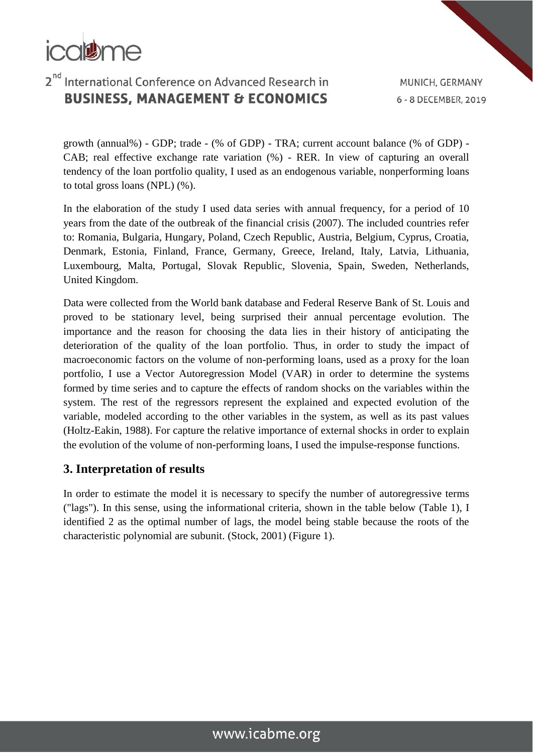

MUNICH, GERMANY 6 - 8 DECEMBER, 2019

growth (annual%) - GDP; trade - (% of GDP) - TRA; current account balance (% of GDP) - CAB; real effective exchange rate variation (%) - RER. In view of capturing an overall tendency of the loan portfolio quality, I used as an endogenous variable, nonperforming loans to total gross loans (NPL) (%).

In the elaboration of the study I used data series with annual frequency, for a period of 10 years from the date of the outbreak of the financial crisis (2007). The included countries refer to: Romania, Bulgaria, Hungary, Poland, Czech Republic, Austria, Belgium, Cyprus, Croatia, Denmark, Estonia, Finland, France, Germany, Greece, Ireland, Italy, Latvia, Lithuania, Luxembourg, Malta, Portugal, Slovak Republic, Slovenia, Spain, Sweden, Netherlands, United Kingdom.

Data were collected from the World bank database and Federal Reserve Bank of St. Louis and proved to be stationary level, being surprised their annual percentage evolution. The importance and the reason for choosing the data lies in their history of anticipating the deterioration of the quality of the loan portfolio. Thus, in order to study the impact of macroeconomic factors on the volume of non-performing loans, used as a proxy for the loan portfolio, I use a Vector Autoregression Model (VAR) in order to determine the systems formed by time series and to capture the effects of random shocks on the variables within the system. The rest of the regressors represent the explained and expected evolution of the variable, modeled according to the other variables in the system, as well as its past values (Holtz-Eakin, 1988). For capture the relative importance of external shocks in order to explain the evolution of the volume of non-performing loans, I used the impulse-response functions.

#### **3. Interpretation of results**

In order to estimate the model it is necessary to specify the number of autoregressive terms ("lags"). In this sense, using the informational criteria, shown in the table below (Table 1), I identified 2 as the optimal number of lags, the model being stable because the roots of the characteristic polynomial are subunit. (Stock, 2001) (Figure 1).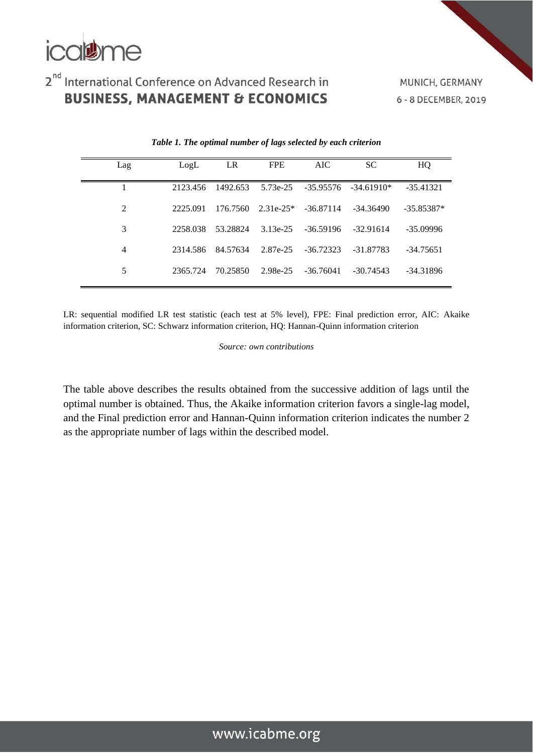

MUNICH, GERMANY 6 - 8 DECEMBER, 2019

| Lag | LogL     | LR.               | <b>FPE</b> | AIC.               | <b>SC</b>                                      | HQ           |
|-----|----------|-------------------|------------|--------------------|------------------------------------------------|--------------|
|     | 2123.456 | 1492.653          |            |                    | $5.73e-25$ $-35.95576$ $-34.61910*$            | -35.41321    |
| 2   | 2225.091 |                   |            |                    | $176.7560$ $2.31e-25*$ $-36.87114$ $-34.36490$ | $-35.85387*$ |
| 3   | 2258.038 | 53.28824          |            | 3.13e-25 -36.59196 | -32.91614                                      | -35.09996    |
| 4   |          | 2314.586 84.57634 |            | 2.87e-25 -36.72323 | -31.87783                                      | -34.75651    |
| 5   | 2365.724 | 70.25850          |            | 2.98e-25 -36.76041 | -30.74543                                      | $-34.31896$  |

#### *Table 1. The optimal number of lags selected by each criterion*

LR: sequential modified LR test statistic (each test at 5% level), FPE: Final prediction error, AIC: Akaike information criterion, SC: Schwarz information criterion, HQ: Hannan-Quinn information criterion

*Source: own contributions*

The table above describes the results obtained from the successive addition of lags until the optimal number is obtained. Thus, the Akaike information criterion favors a single-lag model, and the Final prediction error and Hannan-Quinn information criterion indicates the number 2 as the appropriate number of lags within the described model.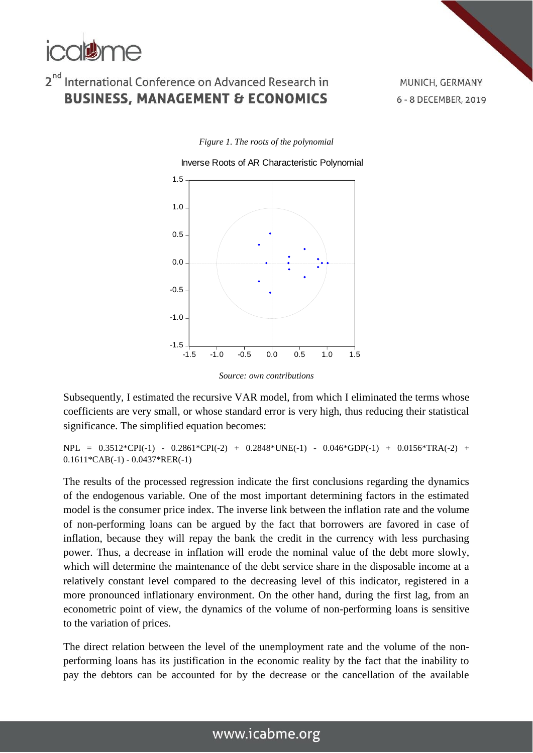

MUNICH, GERMANY 6 - 8 DECEMBER, 2019

*Figure 1. The roots of the polynomial*



*Source: own contributions*

Subsequently, I estimated the recursive VAR model, from which I eliminated the terms whose coefficients are very small, or whose standard error is very high, thus reducing their statistical significance. The simplified equation becomes:

NPL = 0.3512\*CPI(-1) - 0.2861\*CPI(-2) + 0.2848\*UNE(-1) - 0.046\*GDP(-1) + 0.0156\*TRA(-2) + 0.1611\*CAB(-1) - 0.0437\*RER(-1)

The results of the processed regression indicate the first conclusions regarding the dynamics of the endogenous variable. One of the most important determining factors in the estimated model is the consumer price index. The inverse link between the inflation rate and the volume of non-performing loans can be argued by the fact that borrowers are favored in case of inflation, because they will repay the bank the credit in the currency with less purchasing power. Thus, a decrease in inflation will erode the nominal value of the debt more slowly, which will determine the maintenance of the debt service share in the disposable income at a relatively constant level compared to the decreasing level of this indicator, registered in a more pronounced inflationary environment. On the other hand, during the first lag, from an econometric point of view, the dynamics of the volume of non-performing loans is sensitive to the variation of prices.

The direct relation between the level of the unemployment rate and the volume of the nonperforming loans has its justification in the economic reality by the fact that the inability to pay the debtors can be accounted for by the decrease or the cancellation of the available

### www.icabme.org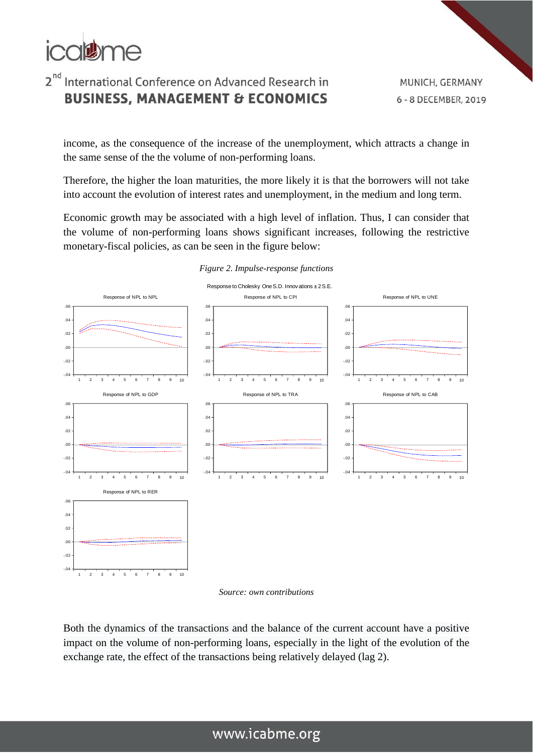

income, as the consequence of the increase of the unemployment, which attracts a change in the same sense of the the volume of non-performing loans.

Therefore, the higher the loan maturities, the more likely it is that the borrowers will not take into account the evolution of interest rates and unemployment, in the medium and long term.

Economic growth may be associated with a high level of inflation. Thus, I can consider that the volume of non-performing loans shows significant increases, following the restrictive monetary-fiscal policies, as can be seen in the figure below:



#### *Figure 2. Impulse-response functions*

*Source: own contributions*

Both the dynamics of the transactions and the balance of the current account have a positive impact on the volume of non-performing loans, especially in the light of the evolution of the exchange rate, the effect of the transactions being relatively delayed (lag 2).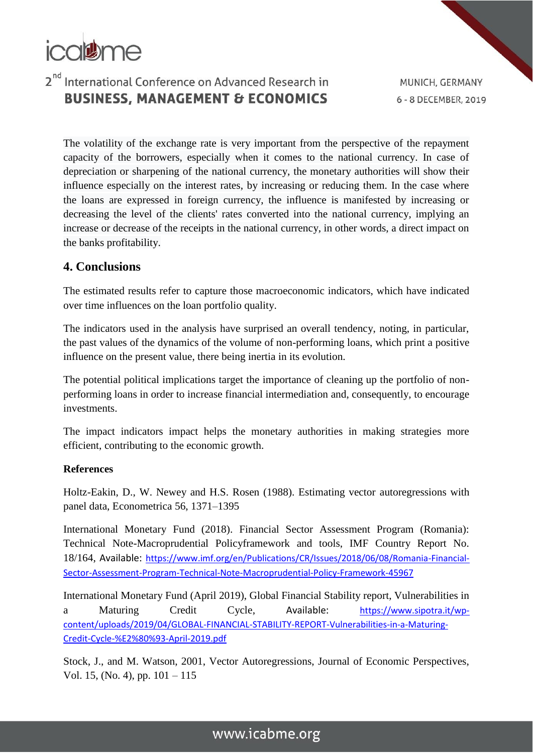

MUNICH, GERMANY 6 - 8 DECEMBER, 2019

The volatility of the exchange rate is very important from the perspective of the repayment capacity of the borrowers, especially when it comes to the national currency. In case of depreciation or sharpening of the national currency, the monetary authorities will show their influence especially on the interest rates, by increasing or reducing them. In the case where the loans are expressed in foreign currency, the influence is manifested by increasing or decreasing the level of the clients' rates converted into the national currency, implying an increase or decrease of the receipts in the national currency, in other words, a direct impact on the banks profitability.

#### **4. Conclusions**

The estimated results refer to capture those macroeconomic indicators, which have indicated over time influences on the loan portfolio quality.

The indicators used in the analysis have surprised an overall tendency, noting, in particular, the past values of the dynamics of the volume of non-performing loans, which print a positive influence on the present value, there being inertia in its evolution.

The potential political implications target the importance of cleaning up the portfolio of nonperforming loans in order to increase financial intermediation and, consequently, to encourage investments.

The impact indicators impact helps the monetary authorities in making strategies more efficient, contributing to the economic growth.

#### **References**

Holtz-Eakin, D., W. Newey and H.S. Rosen (1988). Estimating vector autoregressions with panel data, Econometrica 56, 1371–1395

International Monetary Fund (2018). Financial Sector Assessment Program (Romania): Technical Note-Macroprudential Policyframework and tools, IMF Country Report No. 18/164, Available: [https://www.imf.org/en/Publications/CR/Issues/2018/06/08/Romania-Financial-](https://www.imf.org/en/Publications/CR/Issues/2018/06/08/Romania-Financial-Sector-Assessment-Program-Technical-Note-Macroprudential-Policy-Framework-45967)[Sector-Assessment-Program-Technical-Note-Macroprudential-Policy-Framework-45967](https://www.imf.org/en/Publications/CR/Issues/2018/06/08/Romania-Financial-Sector-Assessment-Program-Technical-Note-Macroprudential-Policy-Framework-45967)

International Monetary Fund (April 2019), Global Financial Stability report, Vulnerabilities in a Maturing Credit Cycle, Available: [https://www.sipotra.it/wp](https://www.sipotra.it/wp-content/uploads/2019/04/GLOBAL-FINANCIAL-STABILITY-REPORT-Vulnerabilities-in-a-Maturing-Credit-Cycle-%E2%80%93-April-2019.pdf)[content/uploads/2019/04/GLOBAL-FINANCIAL-STABILITY-REPORT-Vulnerabilities-in-a-Maturing-](https://www.sipotra.it/wp-content/uploads/2019/04/GLOBAL-FINANCIAL-STABILITY-REPORT-Vulnerabilities-in-a-Maturing-Credit-Cycle-%E2%80%93-April-2019.pdf)[Credit-Cycle-%E2%80%93-April-2019.pdf](https://www.sipotra.it/wp-content/uploads/2019/04/GLOBAL-FINANCIAL-STABILITY-REPORT-Vulnerabilities-in-a-Maturing-Credit-Cycle-%E2%80%93-April-2019.pdf)

Stock, J., and M. Watson, 2001, Vector Autoregressions, Journal of Economic Perspectives, Vol. 15, (No. 4), pp. 101 – 115